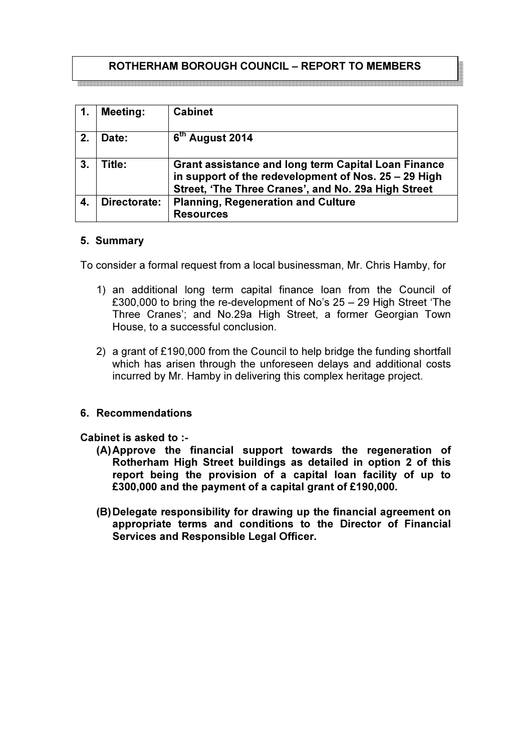# ROTHERHAM BOROUGH COUNCIL – REPORT TO MEMBERS

|    | <b>Meeting:</b> | <b>Cabinet</b>                                                                                                                                                            |
|----|-----------------|---------------------------------------------------------------------------------------------------------------------------------------------------------------------------|
| 2. | Date:           | $6th$ August 2014                                                                                                                                                         |
| 3. | Title:          | <b>Grant assistance and long term Capital Loan Finance</b><br>in support of the redevelopment of Nos. 25 - 29 High<br>Street, 'The Three Cranes', and No. 29a High Street |
| 4. | Directorate:    | <b>Planning, Regeneration and Culture</b><br><b>Resources</b>                                                                                                             |

## 5. Summary

To consider a formal request from a local businessman, Mr. Chris Hamby, for

- 1) an additional long term capital finance loan from the Council of £300,000 to bring the re-development of No's 25 – 29 High Street 'The Three Cranes'; and No.29a High Street, a former Georgian Town House, to a successful conclusion.
- 2) a grant of £190,000 from the Council to help bridge the funding shortfall which has arisen through the unforeseen delays and additional costs incurred by Mr. Hamby in delivering this complex heritage project.

## 6. Recommendations

## Cabinet is asked to :-

- (A) Approve the financial support towards the regeneration of Rotherham High Street buildings as detailed in option 2 of this report being the provision of a capital loan facility of up to £300,000 and the payment of a capital grant of £190,000.
- (B) Delegate responsibility for drawing up the financial agreement on appropriate terms and conditions to the Director of Financial Services and Responsible Legal Officer.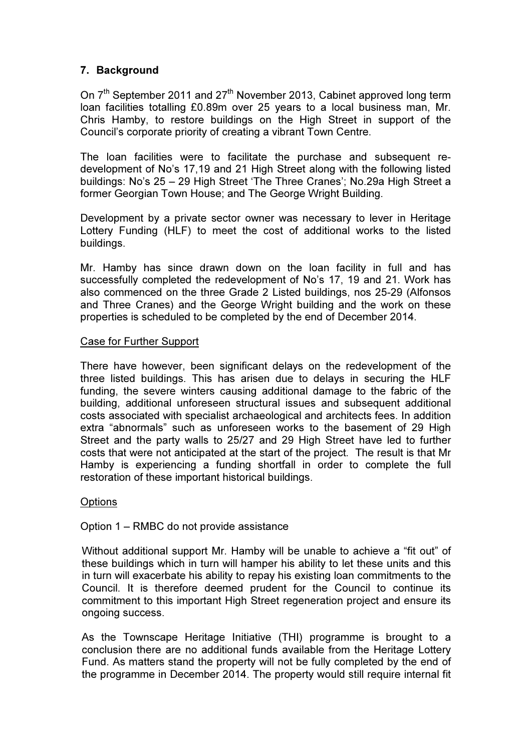## 7. Background

On 7<sup>th</sup> September 2011 and 27<sup>th</sup> November 2013, Cabinet approved long term loan facilities totalling £0.89m over 25 years to a local business man, Mr. Chris Hamby, to restore buildings on the High Street in support of the Council's corporate priority of creating a vibrant Town Centre.

The loan facilities were to facilitate the purchase and subsequent redevelopment of No's 17,19 and 21 High Street along with the following listed buildings: No's 25 – 29 High Street 'The Three Cranes'; No.29a High Street a former Georgian Town House; and The George Wright Building.

Development by a private sector owner was necessary to lever in Heritage Lottery Funding (HLF) to meet the cost of additional works to the listed buildings.

Mr. Hamby has since drawn down on the loan facility in full and has successfully completed the redevelopment of No's 17, 19 and 21. Work has also commenced on the three Grade 2 Listed buildings, nos 25-29 (Alfonsos and Three Cranes) and the George Wright building and the work on these properties is scheduled to be completed by the end of December 2014.

#### Case for Further Support

There have however, been significant delays on the redevelopment of the three listed buildings. This has arisen due to delays in securing the HLF funding, the severe winters causing additional damage to the fabric of the building, additional unforeseen structural issues and subsequent additional costs associated with specialist archaeological and architects fees. In addition extra "abnormals" such as unforeseen works to the basement of 29 High Street and the party walls to 25/27 and 29 High Street have led to further costs that were not anticipated at the start of the project. The result is that Mr Hamby is experiencing a funding shortfall in order to complete the full restoration of these important historical buildings.

#### **Options**

Option 1 – RMBC do not provide assistance

Without additional support Mr. Hamby will be unable to achieve a "fit out" of these buildings which in turn will hamper his ability to let these units and this in turn will exacerbate his ability to repay his existing loan commitments to the Council. It is therefore deemed prudent for the Council to continue its commitment to this important High Street regeneration project and ensure its ongoing success.

As the Townscape Heritage Initiative (THI) programme is brought to a conclusion there are no additional funds available from the Heritage Lottery Fund. As matters stand the property will not be fully completed by the end of the programme in December 2014. The property would still require internal fit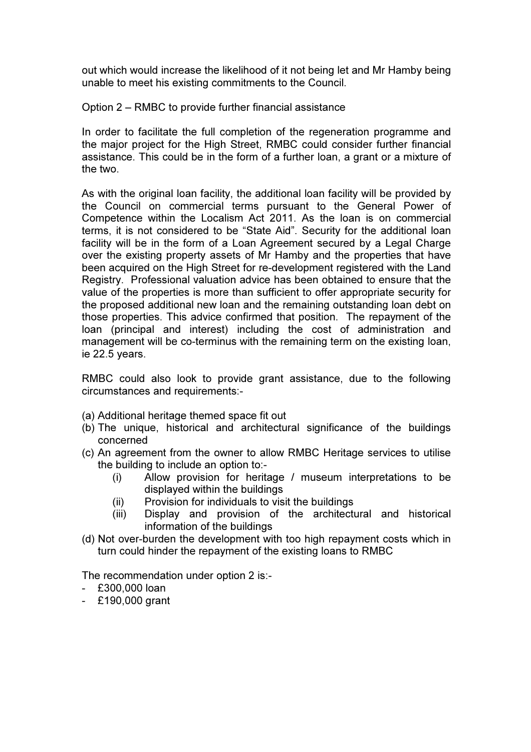out which would increase the likelihood of it not being let and Mr Hamby being unable to meet his existing commitments to the Council.

Option 2 – RMBC to provide further financial assistance

In order to facilitate the full completion of the regeneration programme and the major project for the High Street, RMBC could consider further financial assistance. This could be in the form of a further loan, a grant or a mixture of the two.

As with the original loan facility, the additional loan facility will be provided by the Council on commercial terms pursuant to the General Power of Competence within the Localism Act 2011. As the loan is on commercial terms, it is not considered to be "State Aid". Security for the additional loan facility will be in the form of a Loan Agreement secured by a Legal Charge over the existing property assets of Mr Hamby and the properties that have been acquired on the High Street for re-development registered with the Land Registry. Professional valuation advice has been obtained to ensure that the value of the properties is more than sufficient to offer appropriate security for the proposed additional new loan and the remaining outstanding loan debt on those properties. This advice confirmed that position. The repayment of the loan (principal and interest) including the cost of administration and management will be co-terminus with the remaining term on the existing loan, ie 22.5 years.

RMBC could also look to provide grant assistance, due to the following circumstances and requirements:-

- (a) Additional heritage themed space fit out
- (b) The unique, historical and architectural significance of the buildings concerned
- (c) An agreement from the owner to allow RMBC Heritage services to utilise the building to include an option to:-
	- (i) Allow provision for heritage / museum interpretations to be displayed within the buildings
	- (ii) Provision for individuals to visit the buildings
	- (iii) Display and provision of the architectural and historical information of the buildings
- (d) Not over-burden the development with too high repayment costs which in turn could hinder the repayment of the existing loans to RMBC

The recommendation under option 2 is:-

- £300,000 loan
- £190,000 grant